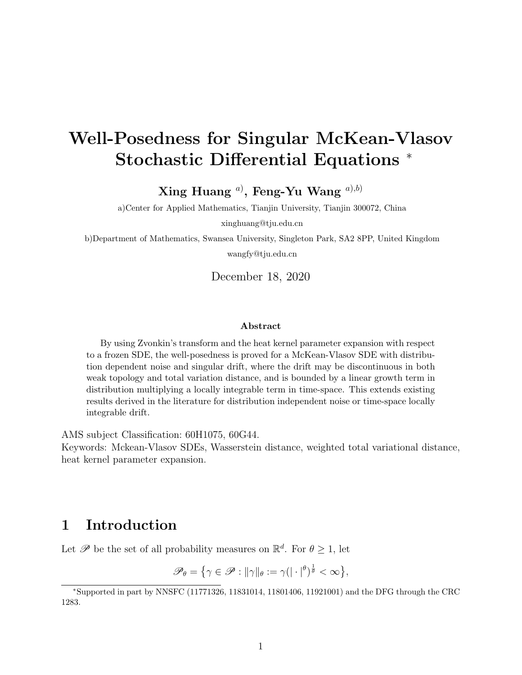# Well-Posedness for Singular McKean-Vlasov Stochastic Differential Equations <sup>∗</sup>

 $\bold {Xing}$  Huang  $^{a)}$ , Feng-Yu Wang  $^{a),b)}$ 

a)Center for Applied Mathematics, Tianjin University, Tianjin 300072, China

xinghuang@tju.edu.cn

b)Department of Mathematics, Swansea University, Singleton Park, SA2 8PP, United Kingdom

wangfy@tju.edu.cn

December 18, 2020

### Abstract

By using Zvonkin's transform and the heat kernel parameter expansion with respect to a frozen SDE, the well-posedness is proved for a McKean-Vlasov SDE with distribution dependent noise and singular drift, where the drift may be discontinuous in both weak topology and total variation distance, and is bounded by a linear growth term in distribution multiplying a locally integrable term in time-space. This extends existing results derived in the literature for distribution independent noise or time-space locally integrable drift.

AMS subject Classification: 60H1075, 60G44.

Keywords: Mckean-Vlasov SDEs, Wasserstein distance, weighted total variational distance, heat kernel parameter expansion.

# 1 Introduction

Let  $\mathscr P$  be the set of all probability measures on  $\mathbb{R}^d$ . For  $\theta \geq 1$ , let

 $\mathscr{P}_{\theta} = \{ \gamma \in \mathscr{P} : ||\gamma||_{\theta} := \gamma (|\cdot|^{\theta})^{\frac{1}{\theta}} < \infty \},\$ 

<sup>∗</sup>Supported in part by NNSFC (11771326, 11831014, 11801406, 11921001) and the DFG through the CRC 1283.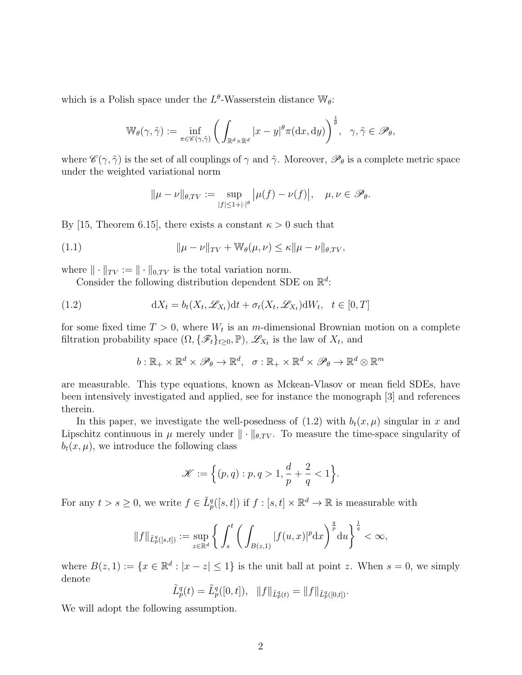which is a Polish space under the  $L^{\theta}$ -Wasserstein distance  $\mathbb{W}_{\theta}$ :

$$
\mathbb{W}_{\theta}(\gamma, \tilde{\gamma}) := \inf_{\pi \in \mathscr{C}(\gamma, \tilde{\gamma})} \bigg( \int_{\mathbb{R}^d \times \mathbb{R}^d} |x - y|^{\theta} \pi(\mathrm{d}x, \mathrm{d}y) \bigg)^{\frac{1}{\theta}}, \quad \gamma, \tilde{\gamma} \in \mathscr{P}_{\theta},
$$

where  $\mathscr{C}(\gamma, \tilde{\gamma})$  is the set of all couplings of  $\gamma$  and  $\tilde{\gamma}$ . Moreover,  $\mathscr{P}_{\theta}$  is a complete metric space under the weighted variational norm

$$
\|\mu - \nu\|_{\theta, TV} := \sup_{|f| \le 1 + |\cdot|^{\theta}} |\mu(f) - \nu(f)|, \quad \mu, \nu \in \mathscr{P}_{\theta}.
$$

By [15, Theorem 6.15], there exists a constant  $\kappa > 0$  such that

(1.1) 
$$
\|\mu - \nu\|_{TV} + \mathbb{W}_{\theta}(\mu, \nu) \leq \kappa \|\mu - \nu\|_{\theta, TV},
$$

where  $\|\cdot\|_{TV} := \|\cdot\|_{0,TV}$  is the total variation norm.

Consider the following distribution dependent SDE on  $\mathbb{R}^d$ :

(1.2) 
$$
dX_t = b_t(X_t, \mathcal{L}_{X_t})dt + \sigma_t(X_t, \mathcal{L}_{X_t})dW_t, \quad t \in [0, T]
$$

for some fixed time  $T > 0$ , where  $W_t$  is an m-dimensional Brownian motion on a complete filtration probability space  $(\Omega, \{\mathscr{F}_t\}_{t\geq 0}, \mathbb{P}), \mathscr{L}_{X_t}$  is the law of  $X_t$ , and

$$
b:\mathbb{R}_+\times\mathbb{R}^d\times\mathscr{P}_{\theta}\to\mathbb{R}^d, \quad \sigma:\mathbb{R}_+\times\mathbb{R}^d\times\mathscr{P}_{\theta}\to\mathbb{R}^d\otimes\mathbb{R}^m
$$

are measurable. This type equations, known as Mckean-Vlasov or mean field SDEs, have been intensively investigated and applied, see for instance the monograph [3] and references therein.

In this paper, we investigate the well-posedness of  $(1.2)$  with  $b_t(x, \mu)$  singular in x and Lipschitz continuous in  $\mu$  merely under  $\|\cdot\|_{\theta,TV}$ . To measure the time-space singularity of  $b_t(x, \mu)$ , we introduce the following class

$$
\mathscr{K}:=\Big\{(p,q):p,q>1,\frac{d}{p}+\frac{2}{q}<1\Big\}.
$$

For any  $t > s \geq 0$ , we write  $f \in \tilde{L}_p^q([s,t])$  if  $f : [s,t] \times \mathbb{R}^d \to \mathbb{R}$  is measurable with

$$
\|f\|_{\tilde{L}_p^q([s,t])}:=\sup_{z\in\mathbb{R}^d}\bigg\{\int_s^t\bigg(\int_{B(z,1)}|f(u,x)|^p\mathrm{d} x\bigg)^{\frac{q}{p}}\mathrm{d} u\bigg\}^{\frac{1}{q}}<\infty,
$$

where  $B(z,1) := \{x \in \mathbb{R}^d : |x - z| \leq 1\}$  is the unit ball at point z. When  $s = 0$ , we simply denote

$$
\tilde{L}_p^q(t) = \tilde{L}_p^q([0, t]), \quad ||f||_{\tilde{L}_p^q(t)} = ||f||_{\tilde{L}_p^q([0, t])}.
$$

We will adopt the following assumption.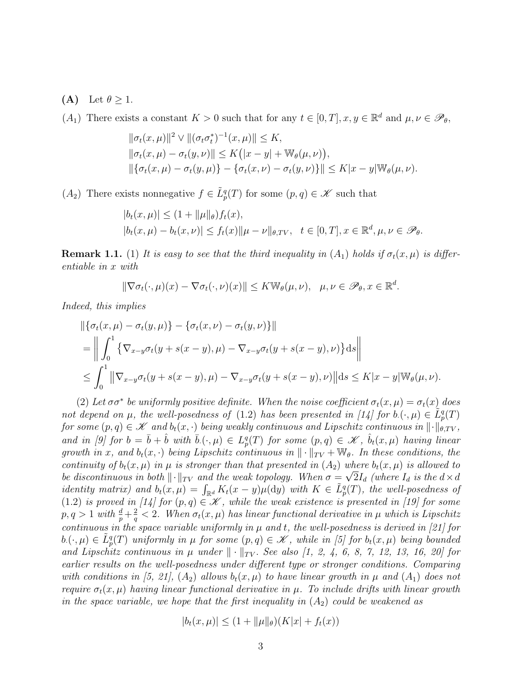- (A) Let  $\theta \geq 1$ .
- $(A_1)$  There exists a constant  $K > 0$  such that for any  $t \in [0, T]$ ,  $x, y \in \mathbb{R}^d$  and  $\mu, \nu \in \mathscr{P}_{\theta}$ ,

$$
\begin{aligned} &\|\sigma_t(x,\mu)\|^2 \vee \|(\sigma_t \sigma_t^*)^{-1}(x,\mu)\| \le K, \\ &\|\sigma_t(x,\mu) - \sigma_t(y,\nu)\| \le K(|x-y| + \mathbb{W}_{\theta}(\mu,\nu)), \\ &\|\{\sigma_t(x,\mu) - \sigma_t(y,\mu)\} - \{\sigma_t(x,\nu) - \sigma_t(y,\nu)\}\| \le K|x-y| \mathbb{W}_{\theta}(\mu,\nu). \end{aligned}
$$

 $(A_2)$  There exists nonnegative  $f \in \tilde{L}_p^q(T)$  for some  $(p, q) \in \mathscr{K}$  such that

$$
|b_t(x,\mu)| \le (1 + \|\mu\|_{\theta}) f_t(x),
$$
  
\n
$$
|b_t(x,\mu) - b_t(x,\nu)| \le f_t(x) \|\mu - \nu\|_{\theta, TV}, \quad t \in [0,T], x \in \mathbb{R}^d, \mu, \nu \in \mathcal{P}_{\theta}.
$$

**Remark 1.1.** (1) It is easy to see that the third inequality in  $(A_1)$  holds if  $\sigma_t(x,\mu)$  is differentiable in x with

$$
\|\nabla \sigma_t(\cdot,\mu)(x)-\nabla \sigma_t(\cdot,\nu)(x)\| \leq K \mathbb{W}_{\theta}(\mu,\nu), \quad \mu,\nu \in \mathscr{P}_{\theta}, x \in \mathbb{R}^d.
$$

Indeed, this implies

$$
\|\{\sigma_t(x,\mu) - \sigma_t(y,\mu)\} - \{\sigma_t(x,\nu) - \sigma_t(y,\nu)\}\|
$$
  
= 
$$
\left\|\int_0^1 \{\nabla_{x-y}\sigma_t(y+s(x-y),\mu) - \nabla_{x-y}\sigma_t(y+s(x-y),\nu)\}ds\right\|
$$
  

$$
\leq \int_0^1 \|\nabla_{x-y}\sigma_t(y+s(x-y),\mu) - \nabla_{x-y}\sigma_t(y+s(x-y),\nu)\|\|ds\| \leq K|x-y|\|\psi(\mu,\nu).
$$

(2) Let  $\sigma \sigma^*$  be uniformly positive definite. When the noise coefficient  $\sigma_t(x,\mu) = \sigma_t(x)$  does not depend on  $\mu$ , the well-posedness of (1.2) has been presented in [14] for  $b.(\cdot,\mu) \in \tilde{L}_p^q(T)$ for some  $(p, q) \in \mathscr{K}$  and  $b_t(x, \cdot)$  being weakly continuous and Lipschitz continuous in  $\|\cdot\|_{\theta, TV}$ , and in [9] for  $b = \bar{b} + \hat{b}$  with  $\bar{b}(\cdot,\mu) \in L^q_p(T)$  for some  $(p,q) \in \mathscr{K}$ ,  $\hat{b}_t(x,\mu)$  having linear growth in x, and  $b_t(x, \cdot)$  being Lipschitz continuous in  $\|\cdot\|_{TV} + \mathbb{W}_{\theta}$ . In these conditions, the continuity of  $b_t(x,\mu)$  in  $\mu$  is stronger than that presented in  $(A_2)$  where  $b_t(x,\mu)$  is allowed to be discontinuous in both  $\lVert \cdot \rVert_{TV}$  and the weak topology. When  $\sigma = \sqrt{2}I_d$  (where  $I_d$  is the  $d \times d$ identity matrix) and  $b_t(x,\mu) = \int_{\mathbb{R}^d} K_t(x-y)\mu(dy)$  with  $K \in L^q_p(T)$ , the well-posedness of (1.2) is proved in [14] for  $(p, q) \in \mathcal{K}$ , while the weak existence is presented in [19] for some  $p, q > 1$  with  $\frac{d}{p} + \frac{2}{q}$  $\frac{2}{q}$  < 2. When  $\sigma_t(x,\mu)$  has linear functional derivative in  $\mu$  which is Lipschitz continuous in the space variable uniformly in  $\mu$  and  $t$ , the well-posedness is derived in [21] for  $b.(\cdot,\mu) \in \tilde{L}^q_p(T)$  uniformly in  $\mu$  for some  $(p,q) \in \mathscr{K}$ , while in [5] for  $b_t(x,\mu)$  being bounded and Lipschitz continuous in  $\mu$  under  $\|\cdot\|_{TV}$ . See also [1, 2, 4, 6, 8, 7, 12, 13, 16, 20] for earlier results on the well-posedness under different type or stronger conditions. Comparing with conditions in [5, 21],  $(A_2)$  allows  $b_t(x,\mu)$  to have linear growth in  $\mu$  and  $(A_1)$  does not require  $\sigma_t(x,\mu)$  having linear functional derivative in  $\mu$ . To include drifts with linear growth in the space variable, we hope that the first inequality in  $(A_2)$  could be weakened as

$$
|b_t(x,\mu)| \le (1 + \|\mu\|_{\theta})(K|x| + f_t(x))
$$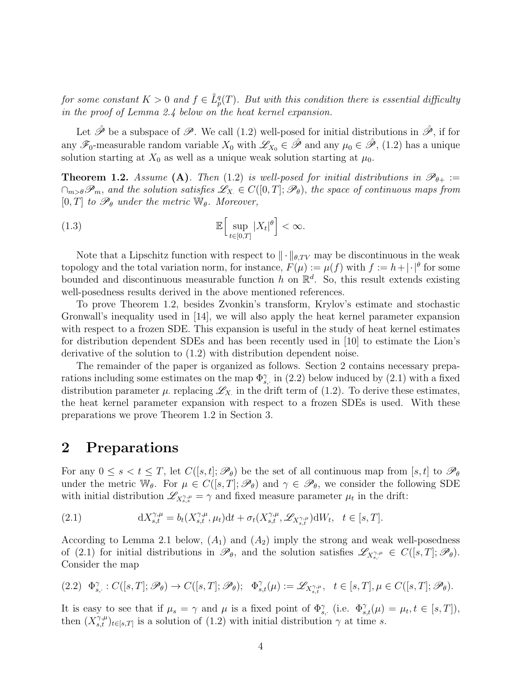for some constant  $K > 0$  and  $f \in \tilde{L}_p^q(T)$ . But with this condition there is essential difficulty in the proof of Lemma 2.4 below on the heat kernel expansion.

Let  $\hat{\mathscr{P}}$  be a subspace of  $\mathscr{P}$ . We call (1.2) well-posed for initial distributions in  $\hat{\mathscr{P}}$ , if for any  $\mathscr{F}_0$ -measurable random variable  $X_0$  with  $\mathscr{L}_{X_0} \in \hat{\mathscr{P}}$  and any  $\mu_0 \in \hat{\mathscr{P}}$ , (1.2) has a unique solution starting at  $X_0$  as well as a unique weak solution starting at  $\mu_0$ .

**Theorem 1.2.** Assume (A). Then (1.2) is well-posed for initial distributions in  $\mathscr{P}_{\theta+} :=$  $\cap_{m>\theta}\mathscr{P}_m$ , and the solution satisfies  $\mathscr{L}_{X} \in C([0,T]; \mathscr{P}_\theta)$ , the space of continuous maps from [0, T] to  $\mathscr{P}_{\theta}$  under the metric  $\mathbb{W}_{\theta}$ . Moreover,

(1.3) 
$$
\mathbb{E}\Big[\sup_{t\in[0,T]}|X_t|^{\theta}\Big]<\infty.
$$

Note that a Lipschitz function with respect to  $\|\cdot\|_{\theta,TV}$  may be discontinuous in the weak topology and the total variation norm, for instance,  $F(\mu) := \mu(f)$  with  $f := h + |\cdot|^{\theta}$  for some bounded and discontinuous measurable function h on  $\mathbb{R}^d$ . So, this result extends existing well-posedness results derived in the above mentioned references.

To prove Theorem 1.2, besides Zvonkin's transform, Krylov's estimate and stochastic Gronwall's inequality used in [14], we will also apply the heat kernel parameter expansion with respect to a frozen SDE. This expansion is useful in the study of heat kernel estimates for distribution dependent SDEs and has been recently used in [10] to estimate the Lion's derivative of the solution to (1.2) with distribution dependent noise.

The remainder of the paper is organized as follows. Section 2 contains necessary preparations including some estimates on the map  $\Phi_{s}^{\gamma}$ , in (2.2) below induced by (2.1) with a fixed distribution parameter  $\mu$  replacing  $\mathscr{L}_X$  in the drift term of (1.2). To derive these estimates, the heat kernel parameter expansion with respect to a frozen SDEs is used. With these preparations we prove Theorem 1.2 in Section 3.

### 2 Preparations

For any  $0 \leq s < t \leq T$ , let  $C([s,t]; \mathscr{P}_{\theta})$  be the set of all continuous map from [s, t] to  $\mathscr{P}_{\theta}$ under the metric W<sub>θ</sub>. For  $\mu \in C([s,T]; \mathscr{P}_{\theta})$  and  $\gamma \in \mathscr{P}_{\theta}$ , we consider the following SDE with initial distribution  $\mathscr{L}_{X_{s,s}^{\gamma,\mu}} = \gamma$  and fixed measure parameter  $\mu_t$  in the drift:

(2.1) 
$$
\mathrm{d}X_{s,t}^{\gamma,\mu} = b_t(X_{s,t}^{\gamma,\mu},\mu_t)\mathrm{d}t + \sigma_t(X_{s,t}^{\gamma,\mu},\mathscr{L}_{X_{s,t}^{\gamma,\mu}})\mathrm{d}W_t, \quad t \in [s,T].
$$

According to Lemma 2.1 below,  $(A_1)$  and  $(A_2)$  imply the strong and weak well-posedness of (2.1) for initial distributions in  $\mathscr{P}_{\theta}$ , and the solution satisfies  $\mathscr{L}_{X_{s,\cdot}^{\gamma,\mu}} \in C([s,T]; \mathscr{P}_{\theta})$ . Consider the map

$$
(2.2)\quad \Phi_{s, \cdot}^{\gamma}: C([s,T]; \mathscr{P}_{\theta}) \to C([s,T]; \mathscr{P}_{\theta}); \quad \Phi_{s,t}^{\gamma}(\mu):= \mathscr{L}_{X_{s,t}^{\gamma,\mu}}, \quad t \in [s,T], \mu \in C([s,T]; \mathscr{P}_{\theta}).
$$

It is easy to see that if  $\mu_s = \gamma$  and  $\mu$  is a fixed point of  $\Phi_{s,\cdot}^{\gamma}$  (i.e.  $\Phi_{s,t}^{\gamma}(\mu) = \mu_t, t \in [s,T],$ then  $(X_{s,t}^{\gamma,\mu})_{t\in[s,T]}$  is a solution of  $(1.2)$  with initial distribution  $\gamma$  at time s.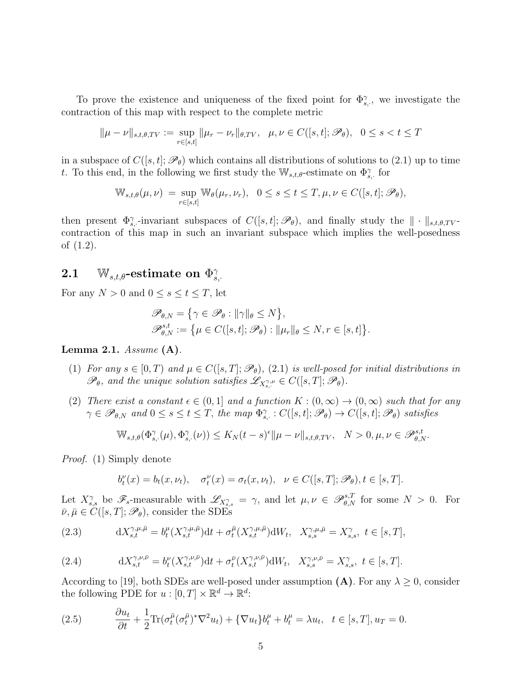To prove the existence and uniqueness of the fixed point for  $\Phi_{s}^{\gamma}$ , we investigate the contraction of this map with respect to the complete metric

$$
\|\mu - \nu\|_{s,t,\theta, TV} := \sup_{r \in [s,t]} \|\mu_r - \nu_r\|_{\theta, TV}, \quad \mu, \nu \in C([s,t]; \mathscr{P}_{\theta}), \quad 0 \le s < t \le T
$$

in a subspace of  $C([s,t];\mathscr{P}_{\theta})$  which contains all distributions of solutions to (2.1) up to time t. To this end, in the following we first study the  $\mathbb{W}_{s,t,\theta}$ -estimate on  $\Phi_{s,\theta}^{\gamma}$  for

$$
\mathbb{W}_{s,t,\theta}(\mu,\nu) = \sup_{r \in [s,t]} \mathbb{W}_{\theta}(\mu_r,\nu_r), \quad 0 \le s \le t \le T, \mu,\nu \in C([s,t];\mathscr{P}_{\theta}),
$$

then present  $\Phi_{s}^{\gamma}$ -invariant subspaces of  $C([s,t];\mathscr{P}_{\theta})$ , and finally study the  $\|\cdot\|_{s,t,\theta,TV}$ contraction of this map in such an invariant subspace which implies the well-posedness of (1.2).

### $\textbf{2.1} \quad \, \mathbb{W}_{s,t,\theta}\text{-estimate on }\Phi_s^{\gamma}$  $s, \cdot$

For any  $N > 0$  and  $0 \leq s \leq t \leq T$ , let

$$
\mathscr{P}_{\theta,N} = \{ \gamma \in \mathscr{P}_{\theta} : ||\gamma||_{\theta} \le N \},
$$
  

$$
\mathscr{P}_{\theta,N}^{s,t} := \{ \mu \in C([s,t]; \mathscr{P}_{\theta}) : ||\mu_r||_{\theta} \le N, r \in [s,t] \}.
$$

### Lemma 2.1.  $Assume$  (A).

- (1) For any  $s \in [0, T)$  and  $\mu \in C([s, T]; \mathscr{P}_{\theta})$ , (2.1) is well-posed for initial distributions in  $\mathscr{P}_{\theta}$ , and the unique solution satisfies  $\mathscr{L}_{X_{s,\cdot}^{\gamma,\mu}} \in C([s,T];\mathscr{P}_{\theta})$ .
- (2) There exist a constant  $\epsilon \in (0,1]$  and a function  $K : (0,\infty) \to (0,\infty)$  such that for any  $\gamma \in \mathscr{P}_{\theta,N}$  and  $0 \leq s \leq t \leq T$ , the map  $\Phi_{s,\cdot}^{\gamma}: C([s,t]; \mathscr{P}_{\theta}) \to C([s,t]; \mathscr{P}_{\theta})$  satisfies

$$
\mathbb{W}_{s,t,\theta}(\Phi_{s,\cdot}^{\gamma}(\mu),\Phi_{s,\cdot}^{\gamma}(\nu))\leq K_N(t-s)^{\epsilon}\|\mu-\nu\|_{s,t,\theta,TV},\quad N>0, \mu,\nu\in \mathscr{P}_{\theta,N}^{s,t}.
$$

Proof. (1) Simply denote

$$
b_t^{\nu}(x) = b_t(x, \nu_t), \quad \sigma_t^{\nu}(x) = \sigma_t(x, \nu_t), \quad \nu \in C([s, T]; \mathscr{P}_{\theta}), t \in [s, T].
$$

Let  $X_{s,s}^{\gamma}$  be  $\mathscr{F}_{s}$ -measurable with  $\mathscr{L}_{X_{s,s}^{\gamma}} = \gamma$ , and let  $\mu, \nu \in \mathscr{P}_{\theta,N}^{s,T}$  for some  $N > 0$ . For  $\bar{\nu}, \bar{\mu} \in C([s, T]; \mathscr{P}_{\theta})$ , consider the SDEs

(2.3) 
$$
dX_{s,t}^{\gamma,\mu,\bar{\mu}} = b_t^{\mu}(X_{s,t}^{\gamma,\mu,\bar{\mu}})dt + \sigma_t^{\bar{\mu}}(X_{s,t}^{\gamma,\mu,\bar{\mu}})dW_t, \quad X_{s,s}^{\gamma,\mu,\bar{\mu}} = X_{s,s}^{\gamma}, \ t \in [s,T],
$$

(2.4) 
$$
dX_{s,t}^{\gamma,\nu,\bar{\nu}} = b_t^{\nu}(X_{s,t}^{\gamma,\nu,\bar{\nu}})dt + \sigma_t^{\bar{\nu}}(X_{s,t}^{\gamma,\nu,\bar{\nu}})dW_t, \quad X_{s,s}^{\gamma,\nu,\bar{\nu}} = X_{s,s}^{\gamma}, \quad t \in [s,T].
$$

According to [19], both SDEs are well-posed under assumption  $(A)$ . For any  $\lambda \geq 0$ , consider the following PDE for  $u : [0, T] \times \mathbb{R}^d \to \mathbb{R}^d$ :

(2.5) 
$$
\frac{\partial u_t}{\partial t} + \frac{1}{2} \text{Tr}(\sigma_t^{\bar{\mu}} (\sigma_t^{\bar{\mu}})^* \nabla^2 u_t) + \{\nabla u_t\} b_t^{\mu} + b_t^{\mu} = \lambda u_t, \quad t \in [s, T], u_T = 0.
$$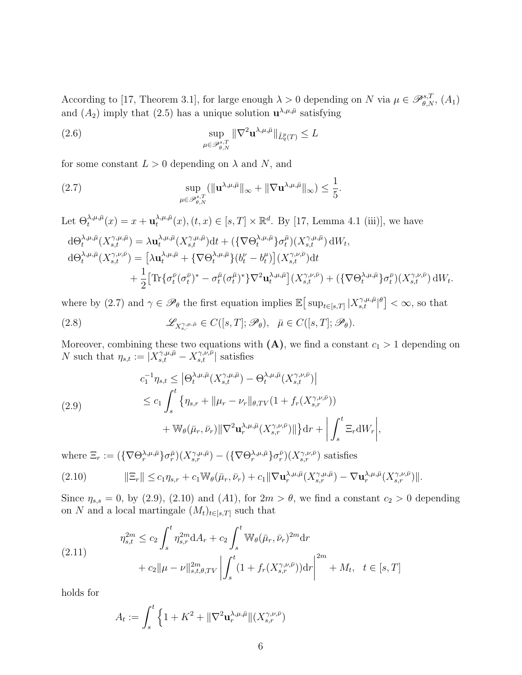According to [17, Theorem 3.1], for large enough  $\lambda > 0$  depending on N via  $\mu \in \mathscr{P}_{\theta,N}^{s,T}$ ,  $(A_1)$ and  $(A_2)$  imply that  $(2.5)$  has a unique solution  $\mathbf{u}^{\lambda,\mu,\bar{\mu}}$  satisfying

(2.6) 
$$
\sup_{\mu \in \mathscr{P}_{\theta,N}^{s,T}} \|\nabla^2 \mathbf{u}^{\lambda,\mu,\bar{\mu}}\|_{\tilde{L}_q^p(T)} \leq L
$$

for some constant  $L > 0$  depending on  $\lambda$  and N, and

(2.7) 
$$
\sup_{\mu \in \mathscr{P}_{\theta, N}^{s, T}} (\|\mathbf{u}^{\lambda, \mu, \bar{\mu}}\|_{\infty} + \|\nabla \mathbf{u}^{\lambda, \mu, \bar{\mu}}\|_{\infty}) \leq \frac{1}{5}.
$$

Let  $\Theta_t^{\lambda,\mu,\bar{\mu}}(x) = x + \mathbf{u}_t^{\lambda,\mu,\bar{\mu}}$  $\lambda_t^{\lambda,\mu,\bar{\mu}}(x), (t,x) \in [s,T] \times \mathbb{R}^d$ . By [17, Lemma 4.1 (iii)], we have

$$
d\Theta_t^{\lambda,\mu,\bar{\mu}}(X_{s,t}^{\gamma,\mu,\bar{\mu}}) = \lambda \mathbf{u}_t^{\lambda,\mu,\bar{\mu}}(X_{s,t}^{\gamma,\mu,\bar{\mu}})dt + \left(\left\{\nabla\Theta_t^{\lambda,\mu,\bar{\mu}}\right\}\sigma_t^{\bar{\mu}}\right)(X_{s,t}^{\gamma,\mu,\bar{\mu}}) dW_t,
$$
  
\n
$$
d\Theta_t^{\lambda,\mu,\bar{\mu}}(X_{s,t}^{\gamma,\nu,\bar{\nu}}) = \left[\lambda \mathbf{u}_t^{\lambda,\mu,\bar{\mu}} + \left\{\nabla\Theta_t^{\lambda,\mu,\bar{\mu}}\right\}(b_t^{\nu} - b_t^{\mu})\right](X_{s,t}^{\gamma,\nu,\bar{\nu}}) dt + \frac{1}{2}\left[\text{Tr}\{\sigma_t^{\bar{\nu}}(\sigma_t^{\bar{\nu}})^* - \sigma_t^{\bar{\mu}}(\sigma_t^{\bar{\mu}})^*\}\nabla^2 \mathbf{u}_t^{\lambda,\mu,\bar{\mu}}\right](X_{s,t}^{\gamma,\nu,\bar{\nu}}) + \left(\left\{\nabla\Theta_t^{\lambda,\mu,\bar{\mu}}\right\}\sigma_t^{\bar{\nu}}\right)(X_{s,t}^{\gamma,\nu,\bar{\nu}}) dW_t.
$$

where by (2.7) and  $\gamma \in \mathscr{P}_{\theta}$  the first equation implies  $\mathbb{E} \big[ \sup_{t \in [s,T]} |X_{s,t}^{\gamma,\mu,\bar{\mu}}|^{\theta} \big] < \infty$ , so that

(2.8) 
$$
\mathscr{L}_{X^{\gamma,\mu,\bar{\mu}}_{s,:}} \in C([s,T];\mathscr{P}_{\theta}), \ \ \bar{\mu} \in C([s,T];\mathscr{P}_{\theta}).
$$

Moreover, combining these two equations with  $(A)$ , we find a constant  $c_1 > 1$  depending on N such that  $\eta_{s,t} := |X_{s,t}^{\gamma,\mu,\bar{\mu}} - X_{s,t}^{\gamma,\nu,\bar{\nu}}|$  satisfies

(2.9)  
\n
$$
c_1^{-1} \eta_{s,t} \leq |\Theta_t^{\lambda,\mu,\bar{\mu}}(X_{s,t}^{\gamma,\mu,\bar{\mu}}) - \Theta_t^{\lambda,\mu,\bar{\mu}}(X_{s,t}^{\gamma,\nu,\bar{\nu}})|
$$
\n
$$
\leq c_1 \int_s^t \left\{ \eta_{s,r} + \|\mu_r - \nu_r\|_{\theta,TV} (1 + f_r(X_{s,r}^{\gamma,\nu,\bar{\nu}})) + \mathbb{W}_{\theta}(\bar{\mu}_r, \bar{\nu}_r) \|\nabla^2 \mathbf{u}_r^{\lambda,\mu,\bar{\mu}}(X_{s,r}^{\gamma,\nu,\bar{\nu}})\| \right\} dr + \left| \int_s^t \Xi_r dW_r \right|,
$$

where  $\Xi_r := (\{\nabla \Theta_r^{\lambda,\mu,\bar{\mu}}\} \sigma_r^{\bar{\mu}})(X_{s,r}^{\gamma,\mu,\bar{\mu}}) - (\{\nabla \Theta_r^{\lambda,\mu,\bar{\mu}}\} \sigma_r^{\bar{\nu}})(X_{s,r}^{\gamma,\nu,\bar{\nu}})$  satisfies

$$
(2.10) \t\t ||\Xi_r|| \leq c_1 \eta_{s,r} + c_1 \mathbb{W}_{\theta}(\bar{\mu}_r, \bar{\nu}_r) + c_1 \|\nabla \mathbf{u}_r^{\lambda, \mu, \bar{\mu}}(X_{s,r}^{\gamma, \mu, \bar{\mu}}) - \nabla \mathbf{u}_r^{\lambda, \mu, \bar{\mu}}(X_{s,r}^{\gamma, \nu, \bar{\nu}}) \|. \tag{2.10}
$$

Since  $\eta_{s,s} = 0$ , by (2.9), (2.10) and (A1), for  $2m > \theta$ , we find a constant  $c_2 > 0$  depending on N and a local martingale  $(M_t)_{t\in[s,T]}$  such that

$$
\eta_{s,t}^{2m} \le c_2 \int_s^t \eta_{s,r}^{2m} dA_r + c_2 \int_s^t \mathbb{W}_{\theta}(\bar{\mu}_r, \bar{\nu}_r)^{2m} dr + c_2 \|\mu - \nu\|_{s,t,\theta,TV}^{2m} \left| \int_s^t (1 + f_r(X_{s,r}^{\gamma,\nu,\bar{\nu}})) dr \right|^{2m} + M_t, \quad t \in [s,T]
$$

holds for

$$
A_t := \int_s^t \left\{ 1 + K^2 + \|\nabla^2 \mathbf{u}_r^{\lambda,\mu,\bar{\mu}}\| (X_{s,r}^{\gamma,\nu,\bar{\nu}}) \right\}
$$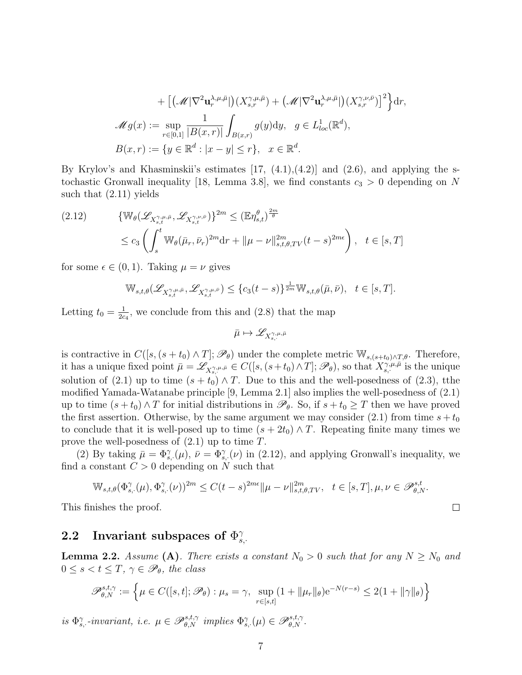+ 
$$
\left[ \left( \mathcal{M} | \nabla^2 \mathbf{u}_r^{\lambda, \mu, \bar{\mu}} \right) \left( X_{s,r}^{\gamma, \mu, \bar{\mu}} \right) + \left( \mathcal{M} | \nabla^2 \mathbf{u}_r^{\lambda, \mu, \bar{\mu}} \right) \left( X_{s,r}^{\gamma, \nu, \bar{\nu}} \right) \right]^2 \right\} dr,
$$
  

$$
\mathcal{M} g(x) := \sup_{r \in [0,1]} \frac{1}{|B(x,r)|} \int_{B(x,r)} g(y) dy, \quad g \in L^1_{loc}(\mathbb{R}^d),
$$
  

$$
B(x,r) := \{ y \in \mathbb{R}^d : |x - y| \le r \}, \quad x \in \mathbb{R}^d.
$$

By Krylov's and Khasminskii's estimates  $[17, (4.1), (4.2)]$  and  $(2.6)$ , and applying the stochastic Gronwall inequality [18, Lemma 3.8], we find constants  $c_3 > 0$  depending on N such that (2.11) yields

$$
(2.12) \qquad \{ \mathbb{W}_{\theta}(\mathscr{L}_{X_{s,t}^{\gamma,\mu,\bar{\mu}}}, \mathscr{L}_{X_{s,t}^{\gamma,\nu,\bar{\nu}}}) \}^{2m} \leq (\mathbb{E}\eta_{s,t}^{\theta})^{\frac{2m}{\theta}}
$$
  

$$
\leq c_3 \left( \int_s^t \mathbb{W}_{\theta}(\bar{\mu}_r, \bar{\nu}_r)^{2m} dr + ||\mu - \nu||_{s,t,\theta,TV}^{2m}(t-s)^{2m\epsilon} \right), \quad t \in [s,T]
$$

for some  $\epsilon \in (0,1)$ . Taking  $\mu = \nu$  gives

$$
\mathbb{W}_{s,t,\theta}(\mathscr{L}_{X_{s,t}^{\gamma,\mu,\bar{\mu}}},\mathscr{L}_{X_{s,t}^{\gamma,\mu,\bar{\nu}}}) \leq \{c_3(t-s)\}^{\frac{1}{2m}} \mathbb{W}_{s,t,\theta}(\bar{\mu},\bar{\nu}), \quad t \in [s,T].
$$

Letting  $t_0 = \frac{1}{2c}$  $\frac{1}{2c_4}$ , we conclude from this and (2.8) that the map

$$
\bar{\mu}\mapsto \mathscr{L}_{X^{\gamma,\mu,\bar{\mu}}_{s,\cdot}}
$$

is contractive in  $C([s,(s+t_0) \wedge T];\mathscr{P}_{\theta})$  under the complete metric  $\mathbb{W}_{s,(s+t_0) \wedge T,\theta}$ . Therefore, it has a unique fixed point  $\bar{\mu} = \mathscr{L}_{X_{s,\cdot}^{\gamma,\mu,\bar{\mu}}} \in C([s,(s+t_0) \wedge T];\mathscr{P}_{\theta})$ , so that  $X_{s,\cdot}^{\gamma,\mu,\bar{\mu}}$  is the unique solution of (2.1) up to time  $(s + t_0) \wedge T$ . Due to this and the well-posedness of (2.3), tthe modified Yamada-Watanabe principle [9, Lemma 2.1] also implies the well-posedness of (2.1) up to time  $(s + t_0) \wedge T$  for initial distributions in  $\mathscr{P}_{\theta}$ . So, if  $s + t_0 \geq T$  then we have proved the first assertion. Otherwise, by the same argument we may consider (2.1) from time  $s + t_0$ to conclude that it is well-posed up to time  $(s + 2t_0) \wedge T$ . Repeating finite many times we prove the well-posedness of  $(2.1)$  up to time T.

(2) By taking  $\bar{\mu} = \Phi_{s}^{\gamma}(\mu)$ ,  $\bar{\nu} = \Phi_{s}^{\gamma}(\nu)$  in (2.12), and applying Gronwall's inequality, we find a constant  $C > 0$  depending on N such that

$$
\mathbb{W}_{s,t,\theta}(\Phi_{s,\cdot}^{\gamma}(\mu),\Phi_{s,\cdot}^{\gamma}(\nu))^{2m} \le C(t-s)^{2m\epsilon} \|\mu-\nu\|_{s,t,\theta,TV}^{2m}, \quad t \in [s,T], \mu, \nu \in \mathscr{P}_{\theta,N}^{s,t}.
$$

 $\Box$ 

This finishes the proof.

#### 2.2 Invariant subspaces of  $\Phi_s^{\gamma}$  $\overset{'}{s},\cdot$

**Lemma 2.2.** Assume (A). There exists a constant  $N_0 > 0$  such that for any  $N \ge N_0$  and  $0 \leq s < t \leq T$ ,  $\gamma \in \mathscr{P}_{\theta}$ , the class

$$
\mathscr{P}_{\theta,N}^{s,t,\gamma} := \left\{ \mu \in C([s,t];\mathscr{P}_{\theta}) : \mu_s = \gamma, \sup_{r \in [s,t]} (1 + ||\mu_r||_{\theta}) e^{-N(r-s)} \le 2(1 + ||\gamma||_{\theta}) \right\}
$$

is  $\Phi_{s}^{\gamma}$ -invariant, i.e.  $\mu \in \mathscr{P}_{\theta,N}^{s,t,\gamma}$  implies  $\Phi_{s}^{\gamma}(\mu) \in \mathscr{P}_{\theta,N}^{s,t,\gamma}$ .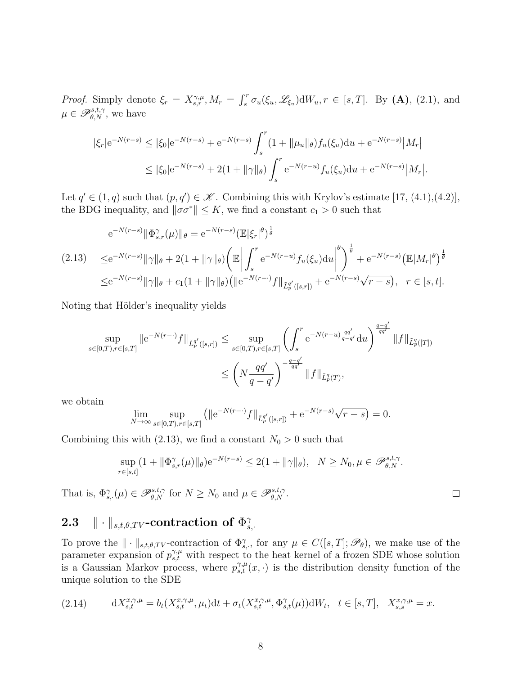*Proof.* Simply denote  $\xi_r = X^{\gamma,\mu}_{s,r}, M_r = \int_s^r \sigma_u(\xi_u, \mathscr{L}_{\xi_u}) dW_u, r \in [s, T]$ . By (A), (2.1), and  $\mu \in \mathscr{P}_{\theta,N}^{s,t,\gamma}$ , we have

$$
|\xi_r| e^{-N(r-s)} \le |\xi_0| e^{-N(r-s)} + e^{-N(r-s)} \int_s^r (1 + ||\mu_u||_\theta) f_u(\xi_u) du + e^{-N(r-s)} |M_r|
$$
  

$$
\le |\xi_0| e^{-N(r-s)} + 2(1 + ||\gamma||_\theta) \int_s^r e^{-N(r-u)} f_u(\xi_u) du + e^{-N(r-s)} |M_r|.
$$

Let  $q' \in (1, q)$  such that  $(p, q') \in \mathcal{K}$ . Combining this with Krylov's estimate [17, (4.1),(4.2)], the BDG inequality, and  $\|\sigma\sigma^*\| \leq K$ , we find a constant  $c_1 > 0$  such that

$$
e^{-N(r-s)} \|\Phi_{s,r}^{\gamma}(\mu)\|_{\theta} = e^{-N(r-s)} (\mathbb{E}|\xi_r|^{\theta})^{\frac{1}{\theta}}
$$
  
(2.13) 
$$
\leq e^{-N(r-s)} \|\gamma\|_{\theta} + 2(1 + \|\gamma\|_{\theta}) \left(\mathbb{E} \left| \int_s^r e^{-N(r-u)} f_u(\xi_u) du \right|^{\theta} \right)^{\frac{1}{\theta}} + e^{-N(r-s)} (\mathbb{E}|M_r|^{\theta})^{\frac{1}{\theta}}
$$
  

$$
\leq e^{-N(r-s)} \|\gamma\|_{\theta} + c_1 (1 + \|\gamma\|_{\theta}) (\|e^{-N(r-\cdot)} f\|_{\tilde{L}_p^{q'}([s,r])} + e^{-N(r-s)} \sqrt{r-s}), \quad r \in [s,t].
$$

Noting that Hölder's inequality yields

$$
\sup_{s \in [0,T), r \in [s,T]} \|e^{-N(r-\cdot)}f\|_{\tilde{L}_p^{q'}([s,r])} \le \sup_{s \in [0,T), r \in [s,T]} \left(\int_s^r e^{-N(r-u)\frac{qq'}{q-q'}} du\right)^{\frac{q-q'}{qq'}} \|f\|_{\tilde{L}_p^q([T])}
$$
  

$$
\le \left(N \frac{qq'}{q-q'}\right)^{-\frac{q-q'}{qq'}} \|f\|_{\tilde{L}_p^q(T)},
$$

we obtain

$$
\lim_{N \to \infty} \sup_{s \in [0,T), r \in [s,T]} \left( \|e^{-N(r-\cdot)}f\|_{\tilde{L}_p^{q'}([s,r])} + e^{-N(r-s)}\sqrt{r-s} \right) = 0.
$$

Combining this with (2.13), we find a constant  $N_0 > 0$  such that

$$
\sup_{r\in[s,t]}(1+\|\Phi_{s,r}^{\gamma}(\mu)\|_{\theta})e^{-N(r-s)}\leq 2(1+\|\gamma\|_{\theta}),\quad N\geq N_0,\mu\in\mathscr{P}_{\theta,N}^{s,t,\gamma}.
$$

 $\Box$ 

That is,  $\Phi_{s}^{\gamma}(\mu) \in \mathscr{P}_{\theta,N}^{s,t,\gamma}$  for  $N \geq N_0$  and  $\mu \in \mathscr{P}_{\theta,N}^{s,t,\gamma}$ .

#### $\textbf{2.3} \quad \|\cdot\|_{s,t,\theta, TV}\text{-contraction of }\Phi_s^{\gamma}$  $s,$

To prove the  $\|\cdot\|_{s,t,\theta,TV}$ -contraction of  $\Phi_{s,\cdot}^{\gamma}$ , for any  $\mu \in C([s,T];\mathscr{P}_{\theta})$ , we make use of the parameter expansion of  $p_{s,t}^{\gamma,\mu}$  with respect to the heat kernel of a frozen SDE whose solution is a Gaussian Markov process, where  $p_{s,t}^{\gamma,\mu}(x, \cdot)$  is the distribution density function of the unique solution to the SDE

(2.14) 
$$
dX_{s,t}^{x,\gamma,\mu} = b_t(X_{s,t}^{x,\gamma,\mu}, \mu_t)dt + \sigma_t(X_{s,t}^{x,\gamma,\mu}, \Phi_{s,t}^{\gamma}(\mu))dW_t, \quad t \in [s,T], \quad X_{s,s}^{x,\gamma,\mu} = x.
$$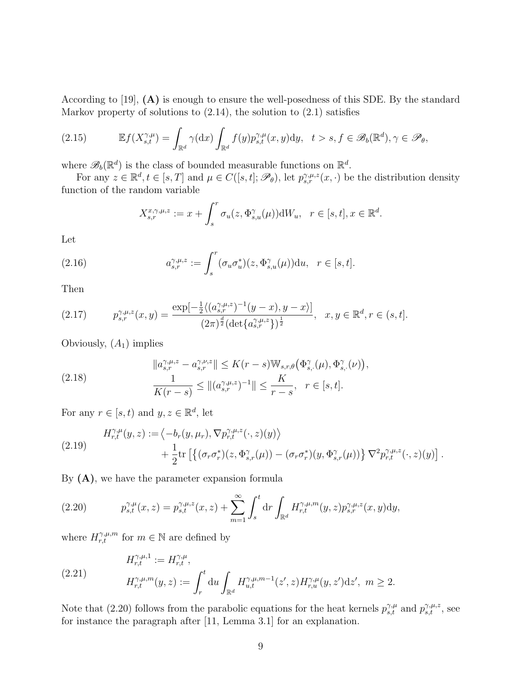According to [19], (A) is enough to ensure the well-posedness of this SDE. By the standard Markov property of solutions to  $(2.14)$ , the solution to  $(2.1)$  satisfies

(2.15) 
$$
\mathbb{E}f(X_{s,t}^{\gamma,\mu}) = \int_{\mathbb{R}^d} \gamma(\mathrm{d}x) \int_{\mathbb{R}^d} f(y) p_{s,t}^{\gamma,\mu}(x,y) \mathrm{d}y, \quad t > s, f \in \mathscr{B}_b(\mathbb{R}^d), \gamma \in \mathscr{P}_\theta,
$$

where  $\mathscr{B}_b(\mathbb{R}^d)$  is the class of bounded measurable functions on  $\mathbb{R}^d$ .

For any  $z \in \mathbb{R}^d, t \in [s, T]$  and  $\mu \in C([s, t]; \mathscr{P}_{\theta})$ , let  $p_{s,r}^{\gamma, \mu, z}(x, \cdot)$  be the distribution density function of the random variable

$$
X_{s,r}^{x,\gamma,\mu,z} := x + \int_s^r \sigma_u(z, \Phi_{s,u}^{\gamma}(\mu)) \mathrm{d}W_u, \quad r \in [s,t], x \in \mathbb{R}^d.
$$

Let

(2.16) 
$$
a_{s,r}^{\gamma,\mu,z} := \int_s^r (\sigma_u \sigma_u^*)(z, \Phi_{s,u}^{\gamma}(\mu)) \mathrm{d}u, \quad r \in [s,t].
$$

Then

$$
(2.17) \t p_{s,r}^{\gamma,\mu,z}(x,y) = \frac{\exp[-\frac{1}{2}\langle (a_{s,r}^{\gamma,\mu,z})^{-1}(y-x), y-x \rangle]}{(2\pi)^{\frac{d}{2}}(\det\{a_{s,r}^{\gamma,\mu,z}\})^{\frac{1}{2}}}, \t x, y \in \mathbb{R}^d, r \in (s,t].
$$

Obviously,  $(A_1)$  implies

(2.18) 
$$
\|a_{s,r}^{\gamma,\mu,z} - a_{s,r}^{\gamma,\nu,z}\| \le K(r-s) \mathbb{W}_{s,r,\theta}\big(\Phi_{s,\cdot}^{\gamma}(\mu), \Phi_{s,\cdot}^{\gamma}(\nu)\big),
$$

$$
\frac{1}{K(r-s)} \le \| (a_{s,r}^{\gamma,\mu,z})^{-1} \| \le \frac{K}{r-s}, \quad r \in [s,t].
$$

For any  $r \in [s, t)$  and  $y, z \in \mathbb{R}^d$ , let

(2.19) 
$$
H_{r,t}^{\gamma,\mu}(y,z) := \langle -b_r(y,\mu_r), \nabla p_{r,t}^{\gamma,\mu,z}(\cdot,z)(y) \rangle + \frac{1}{2} \text{tr} \left[ \{ (\sigma_r \sigma_r^*)(z, \Phi_{s,r}^{\gamma}(\mu)) - (\sigma_r \sigma_r^*)(y, \Phi_{s,r}^{\gamma}(\mu)) \} \nabla^2 p_{r,t}^{\gamma,\mu,z}(\cdot,z)(y) \right].
$$

By  $(A)$ , we have the parameter expansion formula

(2.20) 
$$
p_{s,t}^{\gamma,\mu}(x,z) = p_{s,t}^{\gamma,\mu,z}(x,z) + \sum_{m=1}^{\infty} \int_s^t dr \int_{\mathbb{R}^d} H_{r,t}^{\gamma,\mu,m}(y,z) p_{s,r}^{\gamma,\mu,z}(x,y) dy,
$$

where  $H_{r,t}^{\gamma,\mu,m}$  for  $m \in \mathbb{N}$  are defined by

(2.21) 
$$
H_{r,t}^{\gamma,\mu,1} := H_{r,t}^{\gamma,\mu},
$$

$$
H_{r,t}^{\gamma,\mu,m}(y,z) := \int_r^t \mathrm{d}u \int_{\mathbb{R}^d} H_{u,t}^{\gamma,\mu,m-1}(z',z) H_{r,u}^{\gamma,\mu}(y,z') \mathrm{d}z', \ m \ge 2.
$$

Note that (2.20) follows from the parabolic equations for the heat kernels  $p_{s,t}^{\gamma,\mu}$  and  $p_{s,t}^{\gamma,\mu,z}$ , see for instance the paragraph after [11, Lemma 3.1] for an explanation.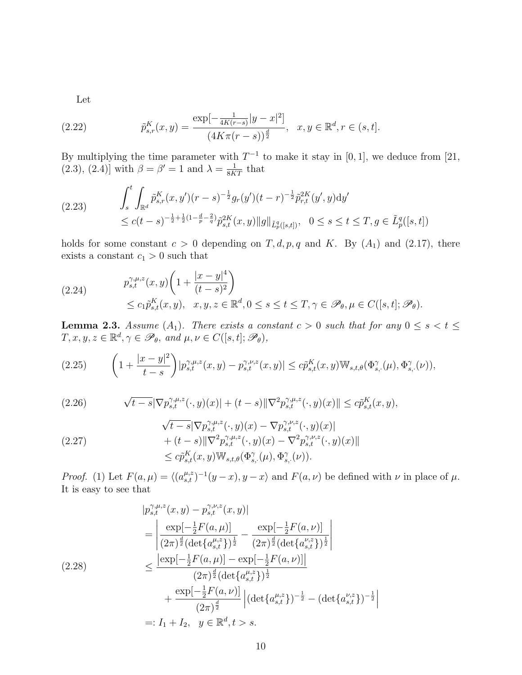Let

(2.22) 
$$
\tilde{p}_{s,r}^K(x,y) = \frac{\exp[-\frac{1}{4K(r-s)}|y-x|^2]}{(4K\pi(r-s))^{\frac{d}{2}}}, \quad x, y \in \mathbb{R}^d, r \in (s,t].
$$

By multiplying the time parameter with  $T^{-1}$  to make it stay in [0, 1], we deduce from [21, (2.3), (2.4)] with  $\beta = \beta' = 1$  and  $\lambda = \frac{1}{8KT}$  that

$$
(2.23) \qquad \int_{s}^{t} \int_{\mathbb{R}^{d}} \tilde{p}_{s,r}^{K}(x,y') (r-s)^{-\frac{1}{2}} g_{r}(y') (t-r)^{-\frac{1}{2}} \tilde{p}_{r,t}^{2K}(y',y) \mathrm{d}y' \leq c(t-s)^{-\frac{1}{2}+\frac{1}{2}(1-\frac{d}{p}-\frac{2}{q})} \tilde{p}_{s,t}^{2K}(x,y) \|g\|_{\tilde{L}_{p}^{q}([s,t])}, \quad 0 \leq s \leq t \leq T, g \in \tilde{L}_{p}^{q}([s,t])
$$

holds for some constant  $c > 0$  depending on T, d, p, q and K. By  $(A_1)$  and  $(2.17)$ , there exists a constant  $c_1 > 0$  such that

(2.24) 
$$
p_{s,t}^{\gamma,\mu,z}(x,y) \left(1 + \frac{|x-y|^4}{(t-s)^2}\right) \le c_1 \tilde{p}_{s,t}^K(x,y), \quad x, y, z \in \mathbb{R}^d, 0 \le s \le t \le T, \gamma \in \mathscr{P}_{\theta}, \mu \in C([s,t]; \mathscr{P}_{\theta}).
$$

**Lemma 2.3.** Assume  $(A_1)$ . There exists a constant  $c > 0$  such that for any  $0 \le s < t \le$  $T, x, y, z \in \mathbb{R}^d, \gamma \in \mathscr{P}_{\theta}, \text{ and } \mu, \nu \in C([s, t]; \mathscr{P}_{\theta}),$ 

$$
(2.25) \qquad \left(1 + \frac{|x - y|^2}{t - s}\right)|p_{s,t}^{\gamma,\mu,z}(x,y) - p_{s,t}^{\gamma,\nu,z}(x,y)| \leq c\tilde{p}_{s,t}^K(x,y) \mathbb{W}_{s,t,\theta}(\Phi_{s,\cdot}^{\gamma}(\mu), \Phi_{s,\cdot}^{\gamma}(\nu)),
$$

(2.26) 
$$
\sqrt{t-s}|\nabla p_{s,t}^{\gamma,\mu,z}(\cdot,y)(x)| + (t-s)\|\nabla^2 p_{s,t}^{\gamma,\mu,z}(\cdot,y)(x)\| \leq c\tilde{p}_{s,t}^K(x,y),
$$

$$
\sqrt{t-s} |\nabla p_{s,t}^{\gamma,\mu,z}(\cdot,y)(x) - \nabla p_{s,t}^{\gamma,\nu,z}(\cdot,y)(x)| \n+ (t-s) ||\nabla^2 p_{s,t}^{\gamma,\mu,z}(\cdot,y)(x) - \nabla^2 p_{s,t}^{\gamma,\nu,z}(\cdot,y)(x)|| \n\leq c \tilde{p}_{s,t}^K(x,y) \mathbb{W}_{s,t,\theta}(\Phi_{s,\cdot}^{\gamma}(\mu), \Phi_{s,\cdot}^{\gamma}(\nu)).
$$

*Proof.* (1) Let  $F(a,\mu) = \langle (a_{s,t}^{\mu,z})^{-1}(y-x), y-x \rangle$  and  $F(a,\nu)$  be defined with  $\nu$  in place of  $\mu$ . It is easy to see that

$$
|p_{s,t}^{\gamma,\mu,z}(x,y) - p_{s,t}^{\gamma,\nu,z}(x,y)|
$$
  
\n
$$
= \left| \frac{\exp[-\frac{1}{2}F(a,\mu)]}{(2\pi)^{\frac{d}{2}}(\det\{a_{s,t}^{\mu,z}\})^{\frac{1}{2}}} - \frac{\exp[-\frac{1}{2}F(a,\nu)]}{(2\pi)^{\frac{d}{2}}(\det\{a_{s,t}^{\nu,z}\})^{\frac{1}{2}}} \right|
$$
  
\n(2.28)  
\n
$$
\leq \frac{|\exp[-\frac{1}{2}F(a,\mu)] - \exp[-\frac{1}{2}F(a,\nu)]|}{(2\pi)^{\frac{d}{2}}(\det\{a_{s,t}^{\mu,z}\})^{\frac{1}{2}}}
$$
  
\n
$$
+ \frac{\exp[-\frac{1}{2}F(a,\nu)]}{(2\pi)^{\frac{d}{2}}} |(\det\{a_{s,t}^{\mu,z}\})^{-\frac{1}{2}} - (\det\{a_{s,t}^{\nu,z}\})^{-\frac{1}{2}}|
$$
  
\n
$$
=: I_1 + I_2, \quad y \in \mathbb{R}^d, t > s.
$$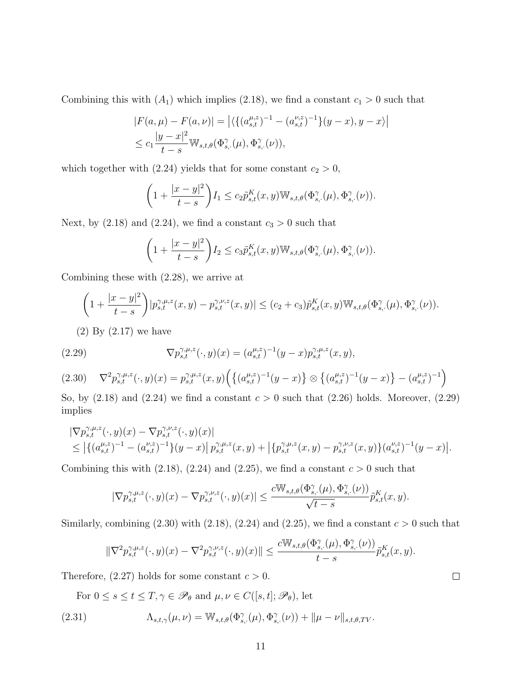Combining this with  $(A_1)$  which implies (2.18), we find a constant  $c_1 > 0$  such that

$$
|F(a,\mu) - F(a,\nu)| = |\langle \{ (a_{s,t}^{\mu,z})^{-1} - (a_{s,t}^{\nu,z})^{-1} \} (y-x), y-x \rangle |
$$
  

$$
\leq c_1 \frac{|y-x|^2}{t-s} \mathbb{W}_{s,t,\theta}(\Phi_{s,\cdot}^{\gamma}(\mu), \Phi_{s,\cdot}^{\gamma}(\nu)),
$$

which together with (2.24) yields that for some constant  $c_2 > 0$ ,

$$
\left(1+\frac{|x-y|^2}{t-s}\right)I_1 \leq c_2\tilde{p}_{s,t}^K(x,y)\mathbb{W}_{s,t,\theta}(\Phi_{s,\cdot}^{\gamma}(\mu),\Phi_{s,\cdot}^{\gamma}(\nu)).
$$

Next, by (2.18) and (2.24), we find a constant  $c_3 > 0$  such that

$$
\left(1+\frac{|x-y|^2}{t-s}\right)I_2 \leq c_3\tilde{p}_{s,t}^K(x,y)\mathbb{W}_{s,t,\theta}(\Phi_{s,\cdot}^{\gamma}(\mu),\Phi_{s,\cdot}^{\gamma}(\nu)).
$$

Combining these with (2.28), we arrive at

$$
\left(1+\frac{|x-y|^2}{t-s}\right)|p_{s,t}^{\gamma,\mu,z}(x,y)-p_{s,t}^{\gamma,\nu,z}(x,y)| \leq (c_2+c_3)\tilde{p}_{s,t}^K(x,y) \mathbb{W}_{s,t,\theta}(\Phi_{s,\cdot}^{\gamma}(\mu),\Phi_{s,\cdot}^{\gamma}(\nu)).
$$

(2) By (2.17) we have

(2.29) 
$$
\nabla p_{s,t}^{\gamma,\mu,z}(\cdot,y)(x) = (a_{s,t}^{\mu,z})^{-1}(y-x)p_{s,t}^{\gamma,\mu,z}(x,y),
$$

$$
(2.30) \quad \nabla^2 p_{s,t}^{\gamma,\mu,z}(\cdot,y)(x) = p_{s,t}^{\gamma,\mu,z}(x,y) \Big( \big\{ (a_{s,t}^{\mu,z})^{-1}(y-x) \big\} \otimes \big\{ (a_{s,t}^{\mu,z})^{-1}(y-x) \big\} - (a_{s,t}^{\mu,z})^{-1} \Big)
$$

So, by  $(2.18)$  and  $(2.24)$  we find a constant  $c > 0$  such that  $(2.26)$  holds. Moreover,  $(2.29)$ implies

$$
\begin{split} & |\nabla p_{s,t}^{\gamma,\mu,z}(\cdot,y)(x) - \nabla p_{s,t}^{\gamma,\nu,z}(\cdot,y)(x)| \\ &\leq \big| \{ (a_{s,t}^{\mu,z})^{-1} - (a_{s,t}^{\nu,z})^{-1} \} (y-x) \big| \, p_{s,t}^{\gamma,\mu,z}(x,y) + \big| \{ p_{s,t}^{\gamma,\mu,z}(x,y) - p_{s,t}^{\gamma,\nu,z}(x,y) \} (a_{s,t}^{\nu,z})^{-1} (y-x) \big| . \end{split}
$$

Combining this with  $(2.18)$ ,  $(2.24)$  and  $(2.25)$ , we find a constant  $c > 0$  such that

$$
|\nabla p^{\gamma,\mu,z}_{s,t}(\cdot,y)(x)-\nabla p^{\gamma,\nu,z}_{s,t}(\cdot,y)(x)|\leq \frac{c\mathbb W_{s,t,\theta}(\Phi^\gamma_{s,\cdot}(\mu),\Phi^\gamma_{s,\cdot}(\nu))}{\sqrt{t-s}}\tilde p^K_{s,t}(x,y).
$$

Similarly, combining  $(2.30)$  with  $(2.18)$ ,  $(2.24)$  and  $(2.25)$ , we find a constant  $c > 0$  such that

$$
\|\nabla^2 p^{\gamma,\mu,z}_{s,t}(\cdot,y)(x)-\nabla^2 p^{\gamma,\nu,z}_{s,t}(\cdot,y)(x)\|\leq \frac{c\mathbb W_{s,t,\theta}(\Phi^\gamma_{s,\cdot}(\mu),\Phi^\gamma_{s,\cdot}(\nu))}{t-s}\tilde p^K_{s,t}(x,y).
$$

Therefore,  $(2.27)$  holds for some constant  $c > 0$ .

For  $0 \leq s \leq t \leq T, \gamma \in \mathscr{P}_{\theta}$  and  $\mu, \nu \in C([s, t]; \mathscr{P}_{\theta})$ , let

(2.31) 
$$
\Lambda_{s,t,\gamma}(\mu,\nu) = \mathbb{W}_{s,t,\theta}(\Phi_{s,\cdot}^{\gamma}(\mu),\Phi_{s,\cdot}^{\gamma}(\nu)) + ||\mu - \nu||_{s,t,\theta,TV}.
$$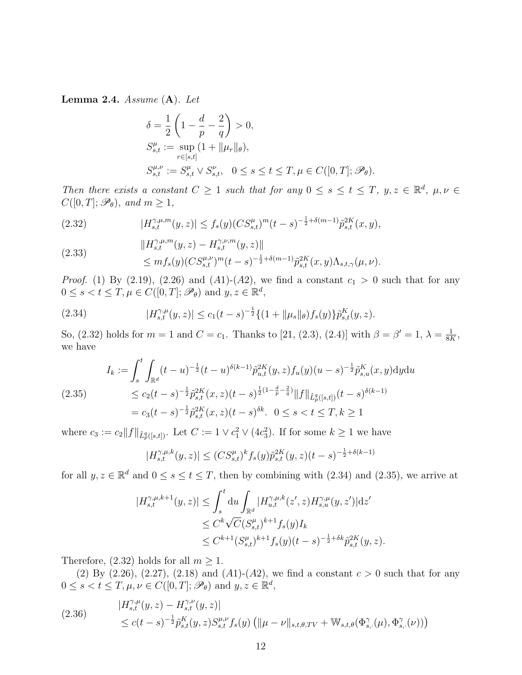Lemma 2.4. Assume  $(A)$ . Let

$$
\delta = \frac{1}{2} \left( 1 - \frac{d}{p} - \frac{2}{q} \right) > 0,
$$
  
\n
$$
S_{s,t}^{\mu} := \sup_{r \in [s,t]} (1 + ||\mu_r||_{\theta}),
$$
  
\n
$$
S_{s,t}^{\mu,\nu} := S_{s,t}^{\mu} \vee S_{s,t}^{\nu}, \quad 0 \le s \le t \le T, \mu \in C([0,T]; \mathcal{P}_{\theta}).
$$

Then there exists a constant  $C \geq 1$  such that for any  $0 \leq s \leq t \leq T$ ,  $y, z \in \mathbb{R}^d$ ,  $\mu, \nu \in$  $C([0, T]; \mathscr{P}_{\theta})$ , and  $m \geq 1$ ,

(2.32) 
$$
|H_{s,t}^{\gamma,\mu,m}(y,z)| \le f_s(y) (CS_{s,t}^{\mu})^m (t-s)^{-\frac{1}{2}+\delta(m-1)} \tilde{p}_{s,t}^{2K}(x,y),
$$

(2.33) 
$$
\|H_{s,t}^{\gamma,\mu,m}(y,z) - H_{s,t}^{\gamma,\nu,m}(y,z)\| \leq m f_s(y) (CS_{s,t}^{\mu,\nu})^m (t-s)^{-\frac{1}{2}+\delta(m-1)} \tilde{p}_{s,t}^{2K}(x,y) \Lambda_{s,t,\gamma}(\mu,\nu).
$$

*Proof.* (1) By (2.19), (2.26) and (A1)-(A2), we find a constant  $c_1 > 0$  such that for any  $0 \leq s < t \leq T, \mu \in C([0, T]; \mathscr{P}_{\theta})$  and  $y, z \in \mathbb{R}^d$ ,

(2.34) 
$$
|H_{s,t}^{\gamma,\mu}(y,z)| \leq c_1(t-s)^{-\frac{1}{2}} \{ (1+ \|\mu_s\|_{\theta}) f_s(y) \} \tilde{p}_{s,t}^K(y,z).
$$

So, (2.32) holds for  $m = 1$  and  $C = c_1$ . Thanks to [21, (2.3), (2.4)] with  $\beta = \beta' = 1$ ,  $\lambda = \frac{1}{88}$  $\frac{1}{8K}$ we have

$$
I_k := \int_s^t \int_{\mathbb{R}^d} (t - u)^{-\frac{1}{2}} (t - u)^{\delta(k-1)} \tilde{p}_{u,t}^{2K}(y, z) f_u(y) (u - s)^{-\frac{1}{2}} \tilde{p}_{s,u}^K(x, y) \mathrm{d}y \mathrm{d}u
$$
\n
$$
\leq c_2 (t - s)^{-\frac{1}{2}} \tilde{p}_{s,t}^{2K}(x, z) (t - s)^{\frac{1}{2}(1 - \frac{d}{p} - \frac{2}{q})} \|f\|_{\tilde{L}_p^q([s, t])} (t - s)^{\delta(k-1)}
$$
\n
$$
= c_3 (t - s)^{-\frac{1}{2}} \tilde{p}_{s,t}^{2K}(x, z) (t - s)^{\delta k}. \quad 0 \leq s < t \leq T, k \geq 1
$$

where  $c_3 := c_2 ||f||_{\tilde{L}_p^q([s,t])}$ . Let  $C := 1 \vee c_1^2 \vee (4c_3^2)$ . If for some  $k \geq 1$  we have

$$
|H_{s,t}^{\gamma,\mu,k}(y,z)| \le (CS_{s,t}^{\mu})^k f_s(y) \tilde{p}_{s,t}^{2K}(y,z)(t-s)^{-\frac{1}{2}+\delta(k-1)}
$$

for all  $y, z \in \mathbb{R}^d$  and  $0 \le s \le t \le T$ , then by combining with (2.34) and (2.35), we arrive at

$$
|H_{s,t}^{\gamma,\mu,k+1}(y,z)| \leq \int_s^t \mathrm{d}u \int_{\mathbb{R}^d} |H_{u,t}^{\gamma,\mu,k}(z',z) H_{s,u}^{\gamma,\mu}(y,z')| \mathrm{d}z' \leq C^k \sqrt{C} (S_{s,t}^\mu)^{k+1} f_s(y) I_k \leq C^{k+1} (S_{s,t}^\mu)^{k+1} f_s(y) (t-s)^{-\frac{1}{2} + \delta k} \tilde{p}_{s,t}^{2K}(y,z).
$$

Therefore, (2.32) holds for all  $m \geq 1$ .

(2) By (2.26), (2.27), (2.18) and (A1)-(A2), we find a constant  $c > 0$  such that for any  $0 \leq s < t \leq T, \mu, \nu \in C([0, T]; \mathscr{P}_{\theta})$  and  $y, z \in \mathbb{R}^d$ ,

(2.36) 
$$
|H_{s,t}^{\gamma,\mu}(y,z) - H_{s,t}^{\gamma,\nu}(y,z)|
$$
  
 
$$
\leq c(t-s)^{-\frac{1}{2}} \tilde{p}_{s,t}^{K}(y,z) S_{s,t}^{\mu,\nu} f_s(y) (||\mu - \nu||_{s,t,\theta,TV} + \mathbb{W}_{s,t,\theta}(\Phi_{s,\cdot}^{\gamma}(\mu), \Phi_{s,\cdot}^{\gamma}(\nu)))
$$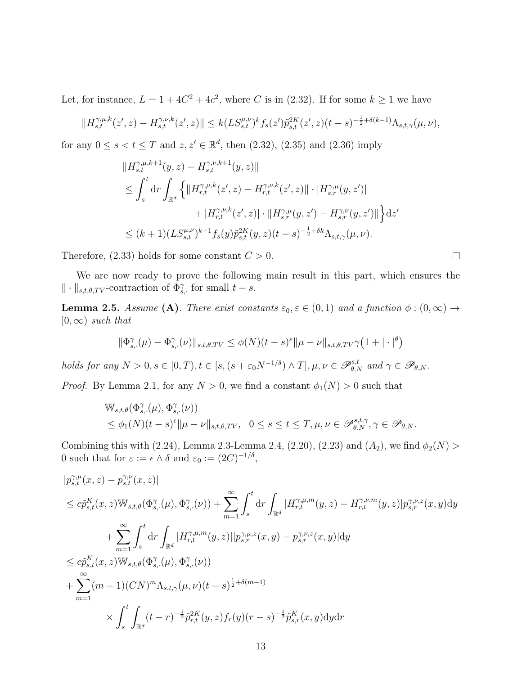Let, for instance,  $L = 1 + 4C^2 + 4c^2$ , where C is in (2.32). If for some  $k \ge 1$  we have

$$
||H_{s,t}^{\gamma,\mu,k}(z',z) - H_{s,t}^{\gamma,\nu,k}(z',z)|| \le k(LS_{s,t}^{\mu,\nu})^k f_s(z') \tilde{p}_{s,t}^{2K}(z',z)(t-s)^{-\frac{1}{2}+\delta(k-1)} \Lambda_{s,t,\gamma}(\mu,\nu),
$$

for any  $0 \le s < t \le T$  and  $z, z' \in \mathbb{R}^d$ , then  $(2.32)$ ,  $(2.35)$  and  $(2.36)$  imply

$$
\|H_{s,t}^{\gamma,\mu,k+1}(y,z) - H_{s,t}^{\gamma,\nu,k+1}(y,z)\|
$$
  
\n
$$
\leq \int_{s}^{t} dr \int_{\mathbb{R}^{d}} \left\{ \|H_{r,t}^{\gamma,\mu,k}(z',z) - H_{r,t}^{\gamma,\nu,k}(z',z)\| \cdot |H_{s,r}^{\gamma,\mu}(y,z')| + |H_{r,t}^{\gamma,\mu}(z',z)| \cdot \|H_{s,r}^{\gamma,\mu}(y,z') - H_{s,r}^{\gamma,\nu}(y,z')\| \right\} dz'
$$
  
\n
$$
\leq (k+1)(LS_{s,t}^{\mu,\nu})^{k+1} f_{s}(y) \tilde{p}_{s,t}^{2K}(y,z)(t-s)^{-\frac{1}{2}+\delta k} \Lambda_{s,t,\gamma}(\mu,\nu).
$$

Therefore,  $(2.33)$  holds for some constant  $C > 0$ .

We are now ready to prove the following main result in this part, which ensures the  $\|\cdot\|_{s,t,\theta,TV}$ -contraction of  $\Phi_{s,\cdot}^{\gamma}$  for small  $t-s$ .

**Lemma 2.5.** Assume (A). There exist constants  $\varepsilon_0, \varepsilon \in (0,1)$  and a function  $\phi : (0,\infty) \to$  $[0,\infty)$  such that

$$
\|\Phi_{s,\cdot}^{\gamma}(\mu) - \Phi_{s,\cdot}^{\gamma}(\nu)\|_{s,t,\theta,TV} \leq \phi(N)(t-s)^{\varepsilon} \|\mu - \nu\|_{s,t,\theta,TV} \gamma \left(1 + |\cdot|^{\theta}\right)
$$

holds for any  $N > 0, s \in [0, T), t \in [s, (s + \varepsilon_0 N^{-1/\delta}) \wedge T], \mu, \nu \in \mathscr{P}_{\theta, N}^{s,t}$  and  $\gamma \in \mathscr{P}_{\theta, N}$ .

*Proof.* By Lemma 2.1, for any  $N > 0$ , we find a constant  $\phi_1(N) > 0$  such that

$$
\begin{split} &\mathbb{W}_{s,t,\theta}(\Phi_{s,\cdot}^{\gamma}(\mu),\Phi_{s,\cdot}^{\gamma}(\nu)) \\ &\leq \phi_1(N)(t-s)^{\epsilon}\|\mu-\nu\|_{s,t,\theta,TV}, \ \ 0\leq s\leq t\leq T, \mu,\nu\in \mathscr{P}_{\theta,N}^{s,t,\gamma}, \gamma\in \mathscr{P}_{\theta,N}. \end{split}
$$

Combining this with (2.24), Lemma 2.3-Lemma 2.4, (2.20), (2.23) and  $(A_2)$ , we find  $\phi_2(N)$ 0 such that for  $\varepsilon := \epsilon \wedge \delta$  and  $\varepsilon_0 := (2C)^{-1/\delta}$ ,

$$
|p_{s,t}^{\gamma,\mu}(x,z) - p_{s,t}^{\gamma,\nu}(x,z)|
$$
  
\n
$$
\leq c\tilde{p}_{s,t}^{K}(x,z) \mathbb{W}_{s,t,\theta}(\Phi_{s,\cdot}^{\gamma}(\mu), \Phi_{s,\cdot}^{\gamma}(\nu)) + \sum_{m=1}^{\infty} \int_{s}^{t} dr \int_{\mathbb{R}^{d}} |H_{r,t}^{\gamma,\mu,m}(y,z) - H_{r,t}^{\gamma,\nu,m}(y,z)| p_{s,r}^{\gamma,\nu,z}(x,y) dy
$$
  
\n
$$
+ \sum_{m=1}^{\infty} \int_{s}^{t} dr \int_{\mathbb{R}^{d}} |H_{r,t}^{\gamma,\mu,m}(y,z)|| p_{s,r}^{\gamma,\mu,z}(x,y) - p_{s,r}^{\gamma,\nu,z}(x,y) |dy
$$
  
\n
$$
\leq c\tilde{p}_{s,t}^{K}(x,z) \mathbb{W}_{s,t,\theta}(\Phi_{s,\cdot}^{\gamma}(\mu), \Phi_{s,\cdot}^{\gamma}(\nu))
$$
  
\n
$$
+ \sum_{m=1}^{\infty} (m+1)(CN)^{m} \Lambda_{s,t,\gamma}(\mu,\nu)(t-s)^{\frac{1}{2}+\delta(m-1)}
$$
  
\n
$$
\times \int_{s}^{t} \int_{\mathbb{R}^{d}} (t-r)^{-\frac{1}{2}} \tilde{p}_{r,t}^{2K}(y,z) f_{r}(y)(r-s)^{-\frac{1}{2}} \tilde{p}_{s,r}^{K}(x,y) dy dr
$$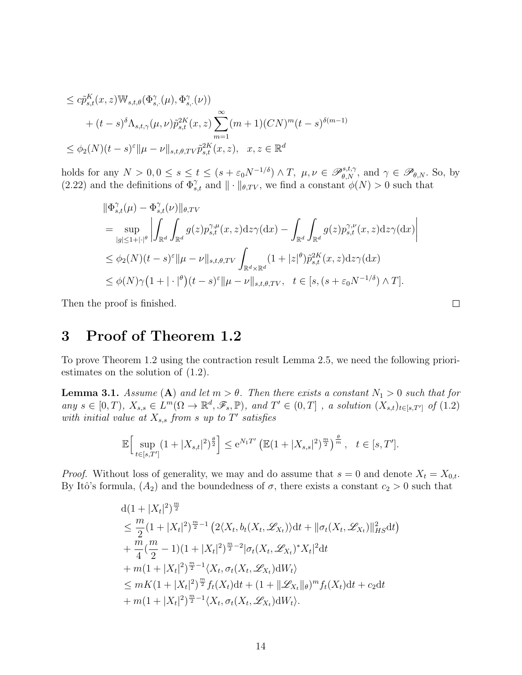$$
\leq c\tilde{p}_{s,t}^{K}(x,z) \mathbb{W}_{s,t,\theta}(\Phi_{s,\cdot}^{\gamma}(\mu), \Phi_{s,\cdot}^{\gamma}(\nu)) \n+ (t-s)^{\delta} \Lambda_{s,t,\gamma}(\mu, \nu) \tilde{p}_{s,t}^{2K}(x,z) \sum_{m=1}^{\infty} (m+1) (CN)^{m} (t-s)^{\delta(m-1)} \n\leq \phi_2(N) (t-s)^{\varepsilon} \| \mu - \nu \|_{s,t,\theta,TV} \tilde{p}_{s,t}^{2K}(x,z), \quad x, z \in \mathbb{R}^d
$$

holds for any  $N > 0, 0 \le s \le t \le (s + \varepsilon_0 N^{-1/\delta}) \wedge T$ ,  $\mu, \nu \in \mathscr{P}_{\theta, N}^{s,t,\gamma}$ , and  $\gamma \in \mathscr{P}_{\theta, N}$ . So, by (2.22) and the definitions of  $\Phi_{s,t}^{\gamma}$  and  $\|\cdot\|_{\theta,TV}$ , we find a constant  $\phi(N) > 0$  such that

$$
\begin{split}\n&\|\Phi_{s,t}^{\gamma}(\mu) - \Phi_{s,t}^{\gamma}(\nu)\|_{\theta,TV} \\
&= \sup_{|g| \le 1 + |\cdot|^{\theta}} \left| \int_{\mathbb{R}^d} \int_{\mathbb{R}^d} g(z) p_{s,t}^{\gamma,\mu}(x,z) \mathrm{d}z \gamma(\mathrm{d}x) - \int_{\mathbb{R}^d} \int_{\mathbb{R}^d} g(z) p_{s,t}^{\gamma,\nu}(x,z) \mathrm{d}z \gamma(\mathrm{d}x) \right| \\
&\le \phi_2(N)(t-s)^{\varepsilon} \|\mu - \nu\|_{s,t,\theta,TV} \int_{\mathbb{R}^d \times \mathbb{R}^d} (1 + |z|^{\theta}) \tilde{p}_{s,t}^{2K}(x,z) \mathrm{d}z \gamma(\mathrm{d}x) \\
&\le \phi(N)\gamma(1 + |\cdot|^{\theta})(t-s)^{\varepsilon} \|\mu - \nu\|_{s,t,\theta,TV}, \quad t \in [s, (s + \varepsilon_0 N^{-1/\delta}) \wedge T].\n\end{split}
$$

Then the proof is finished.

# 3 Proof of Theorem 1.2

To prove Theorem 1.2 using the contraction result Lemma 2.5, we need the following prioriestimates on the solution of (1.2).

**Lemma 3.1.** Assume (A) and let  $m > \theta$ . Then there exists a constant  $N_1 > 0$  such that for any  $s \in [0,T)$ ,  $X_{s,s} \in L^m(\Omega \to \mathbb{R}^d, \mathscr{F}_s, \mathbb{P})$ , and  $T' \in (0,T]$ , a solution  $(X_{s,t})_{t \in [s,T']}$  of  $(1.2)$ with initial value at  $X_{s,s}$  from s up to T' satisfies

$$
\mathbb{E}\Big[\sup_{t\in[s,T']} (1+|X_{s,t}|^2)^{\frac{\theta}{2}}\Big] \leq e^{N_1T'}\left(\mathbb{E}(1+|X_{s,s}|^2)^{\frac{m}{2}}\right)^{\frac{\theta}{m}}, \quad t\in[s,T'].
$$

*Proof.* Without loss of generality, we may and do assume that  $s = 0$  and denote  $X_t = X_{0,t}$ . By Itô's formula,  $(A_2)$  and the boundedness of  $\sigma$ , there exists a constant  $c_2 > 0$  such that

$$
d(1+|X_t|^2)^{\frac{m}{2}}
$$
  
\n
$$
\leq \frac{m}{2}(1+|X_t|^2)^{\frac{m}{2}-1} (2\langle X_t, b_t(X_t, \mathcal{L}_{X_t})\rangle dt + \|\sigma_t(X_t, \mathcal{L}_{X_t})\|_{HS}^2 dt)
$$
  
\n
$$
+ \frac{m}{4}(\frac{m}{2}-1)(1+|X_t|^2)^{\frac{m}{2}-2}|\sigma_t(X_t, \mathcal{L}_{X_t})^* X_t|^2 dt
$$
  
\n
$$
+ m(1+|X_t|^2)^{\frac{m}{2}-1} \langle X_t, \sigma_t(X_t, \mathcal{L}_{X_t})dW_t \rangle
$$
  
\n
$$
\leq mK(1+|X_t|^2)^{\frac{m}{2}} f_t(X_t)dt + (1+||\mathcal{L}_{X_t}||_\theta)^m f_t(X_t)dt + c_2 dt
$$
  
\n
$$
+ m(1+|X_t|^2)^{\frac{m}{2}-1} \langle X_t, \sigma_t(X_t, \mathcal{L}_{X_t})dW_t \rangle.
$$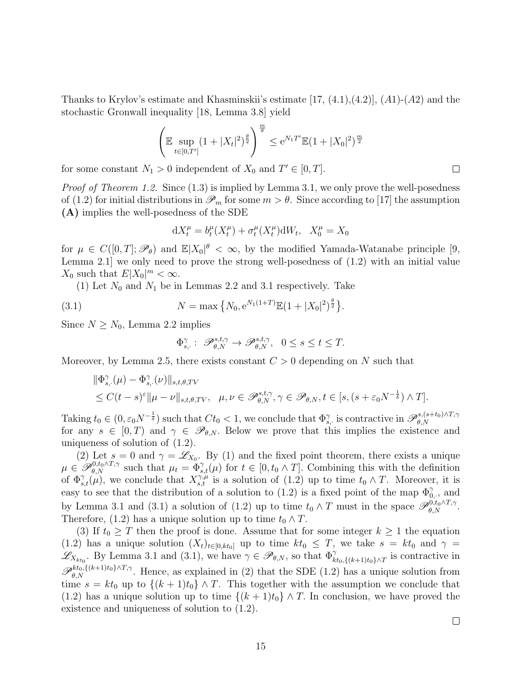Thanks to Krylov's estimate and Khasminskii's estimate  $[17, (4.1), (4.2)]$ ,  $(A1)$ - $(A2)$  and the stochastic Gronwall inequality [18, Lemma 3.8] yield

$$
\left(\mathbb{E}\sup_{t\in[0,T']} (1+|X_t|^2)^{\frac{\theta}{2}}\right)^{\frac{m}{\theta}} \leq e^{N_1T'}\mathbb{E}(1+|X_0|^2)^{\frac{m}{2}}
$$

for some constant  $N_1 > 0$  independent of  $X_0$  and  $T' \in [0, T]$ .

*Proof of Theorem 1.2.* Since  $(1.3)$  is implied by Lemma 3.1, we only prove the well-posedness of (1.2) for initial distributions in  $\mathcal{P}_m$  for some  $m > \theta$ . Since according to [17] the assumption (A) implies the well-posedness of the SDE

$$
dX_t^{\mu} = b_t^{\mu}(X_t^{\mu}) + \sigma_t^{\mu}(X_t^{\mu})dW_t, \quad X_0^{\mu} = X_0
$$

for  $\mu \in C([0,T]; \mathscr{P}_{\theta})$  and  $\mathbb{E}|X_0|^{\theta} < \infty$ , by the modified Yamada-Watanabe principle [9, Lemma 2.1] we only need to prove the strong well-posedness of (1.2) with an initial value  $X_0$  such that  $E|X_0|^m < \infty$ .

(1) Let  $N_0$  and  $N_1$  be in Lemmas 2.2 and 3.1 respectively. Take

(3.1) 
$$
N = \max\left\{N_0, e^{N_1(1+T)}\mathbb{E}(1+|X_0|^2)^{\frac{\theta}{2}}\right\}.
$$

Since  $N \geq N_0$ , Lemma 2.2 implies

$$
\Phi_{s,}^{\gamma}: \ \mathscr{P}_{\theta,N}^{s,t,\gamma} \to \mathscr{P}_{\theta,N}^{s,t,\gamma}, \ \ 0 \le s \le t \le T.
$$

Moreover, by Lemma 2.5, there exists constant  $C > 0$  depending on N such that

$$
\begin{aligned} &\|\Phi_{s,\cdot}^{\gamma}(\mu) - \Phi_{s,\cdot}^{\gamma}(\nu)\|_{s,t,\theta,TV} \\ &\leq C(t-s)^{\varepsilon} \|\mu - \nu\|_{s,t,\theta,TV}, \quad \mu, \nu \in \mathscr{P}_{\theta,N}^{s,t,\gamma}, \gamma \in \mathscr{P}_{\theta,N}, t \in [s,(s+\varepsilon_0 N^{-\frac{1}{\delta}}) \wedge T]. \end{aligned}
$$

Taking  $t_0 \in (0, \varepsilon_0 N^{-\frac{1}{\delta}})$  such that  $C t_0 < 1$ , we conclude that  $\Phi_{s,\cdot}^{\gamma}$  is contractive in  $\mathscr{P}_{\theta,N}^{s,(s+t_0)\wedge T,\gamma}$  $_{\theta,N}$ for any  $s \in [0, T)$  and  $\gamma \in \mathscr{P}_{\theta, N}$ . Below we prove that this implies the existence and uniqueness of solution of (1.2).

(2) Let  $s = 0$  and  $\gamma = \mathscr{L}_{X_0}$ . By (1) and the fixed point theorem, there exists a unique  $\mu \in \mathscr{P}_{\theta,N}^{0,t_0 \wedge T,\gamma}$  such that  $\mu_t = \Phi_{s,t}^{\gamma}(\mu)$  for  $t \in [0,t_0 \wedge T]$ . Combining this with the definition of  $\Phi_{s,t}^{\gamma}(\mu)$ , we conclude that  $X_{s,t}^{\gamma,\mu}$  is a solution of  $(1.2)$  up to time  $t_0 \wedge T$ . Moreover, it is easy to see that the distribution of a solution to (1.2) is a fixed point of the map  $\Phi_{0,\cdot}^{\gamma}$ , and by Lemma 3.1 and (3.1) a solution of (1.2) up to time  $t_0 \wedge T$  must in the space  $\mathscr{P}_{\theta,N}^{0,t_0 \wedge T,\gamma}$ . Therefore, (1.2) has a unique solution up to time  $t_0 \wedge T$ .

(3) If  $t_0 \geq T$  then the proof is done. Assume that for some integer  $k \geq 1$  the equation (1.2) has a unique solution  $(X_t)_{t\in[0,kt_0]}$  up to time  $kt_0 \leq T$ , we take  $s = kt_0$  and  $\gamma =$  $\mathscr{L}_{X_{kt_0}}$ . By Lemma 3.1 and (3.1), we have  $\gamma \in \mathscr{P}_{\theta,N}$ , so that  $\Phi^{\gamma}_{kt_0,\{(k+1)t_0\}\wedge T}$  is contractive in  $\mathscr{P}_{\theta,N}^{kt_0, \{(k+1)t_0\}\wedge T,\gamma}$ . Hence, as explained in (2) that the SDE (1.2) has a unique solution from time  $s = kt_0$  up to  $\{(k+1)t_0\} \wedge T$ . This together with the assumption we conclude that (1.2) has a unique solution up to time  $\{(k+1)t_0\} \wedge T$ . In conclusion, we have proved the existence and uniqueness of solution to (1.2).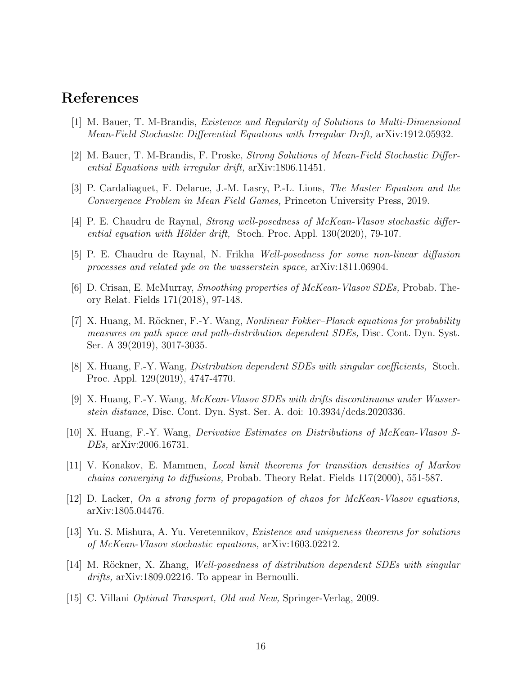## References

- [1] M. Bauer, T. M-Brandis, Existence and Regularity of Solutions to Multi-Dimensional Mean-Field Stochastic Differential Equations with Irregular Drift, arXiv:1912.05932.
- [2] M. Bauer, T. M-Brandis, F. Proske, Strong Solutions of Mean-Field Stochastic Differential Equations with irregular drift, arXiv:1806.11451.
- [3] P. Cardaliaguet, F. Delarue, J.-M. Lasry, P.-L. Lions, The Master Equation and the Convergence Problem in Mean Field Games, Princeton University Press, 2019.
- [4] P. E. Chaudru de Raynal, Strong well-posedness of McKean-Vlasov stochastic differential equation with Hölder drift, Stoch. Proc. Appl.  $130(2020)$ , 79-107.
- [5] P. E. Chaudru de Raynal, N. Frikha Well-posedness for some non-linear diffusion processes and related pde on the wasserstein space, arXiv:1811.06904.
- [6] D. Crisan, E. McMurray, Smoothing properties of McKean-Vlasov SDEs, Probab. Theory Relat. Fields 171(2018), 97-148.
- [7] X. Huang, M. Röckner, F.-Y. Wang, *Nonlinear Fokker–Planck equations for probability* measures on path space and path-distribution dependent SDEs, Disc. Cont. Dyn. Syst. Ser. A 39(2019), 3017-3035.
- [8] X. Huang, F.-Y. Wang, Distribution dependent SDEs with singular coefficients, Stoch. Proc. Appl. 129(2019), 4747-4770.
- [9] X. Huang, F.-Y. Wang, McKean-Vlasov SDEs with drifts discontinuous under Wasserstein distance, Disc. Cont. Dyn. Syst. Ser. A. doi: 10.3934/dcds.2020336.
- [10] X. Huang, F.-Y. Wang, Derivative Estimates on Distributions of McKean-Vlasov S-DEs, arXiv:2006.16731.
- [11] V. Konakov, E. Mammen, Local limit theorems for transition densities of Markov chains converging to diffusions, Probab. Theory Relat. Fields 117(2000), 551-587.
- [12] D. Lacker, On a strong form of propagation of chaos for McKean-Vlasov equations, arXiv:1805.04476.
- [13] Yu. S. Mishura, A. Yu. Veretennikov, Existence and uniqueness theorems for solutions of McKean-Vlasov stochastic equations, arXiv:1603.02212.
- [14] M. Röckner, X. Zhang, Well-posedness of distribution dependent SDEs with singular drifts, arXiv:1809.02216. To appear in Bernoulli.
- [15] C. Villani Optimal Transport, Old and New, Springer-Verlag, 2009.